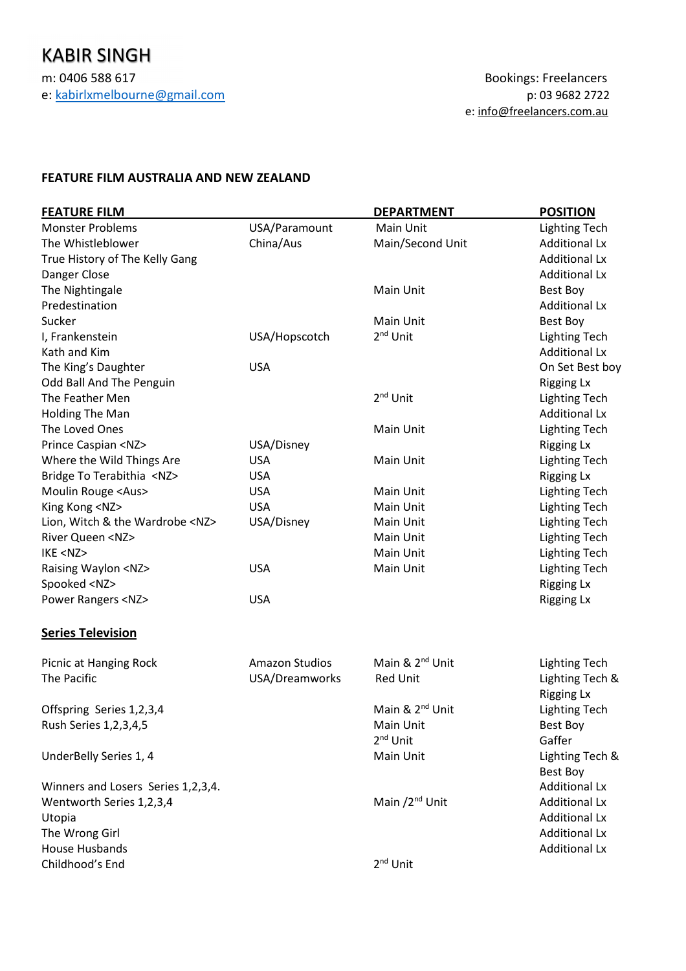## **FEATURE FILM AUSTRALIA AND NEW ZEALAND**

| <b>FEATURE FILM</b>                  |                       | <b>DEPARTMENT</b>           | <b>POSITION</b>                      |
|--------------------------------------|-----------------------|-----------------------------|--------------------------------------|
| <b>Monster Problems</b>              | USA/Paramount         | Main Unit                   | <b>Lighting Tech</b>                 |
| The Whistleblower                    | China/Aus             | Main/Second Unit            | <b>Additional Lx</b>                 |
| True History of The Kelly Gang       |                       |                             | <b>Additional Lx</b>                 |
| Danger Close                         |                       |                             | <b>Additional Lx</b>                 |
| The Nightingale                      |                       | Main Unit                   | Best Boy                             |
| Predestination                       |                       |                             | <b>Additional Lx</b>                 |
| Sucker                               |                       | Main Unit                   | Best Boy                             |
| I, Frankenstein                      | USA/Hopscotch         | 2 <sup>nd</sup> Unit        | <b>Lighting Tech</b>                 |
| Kath and Kim                         |                       |                             | <b>Additional Lx</b>                 |
| The King's Daughter                  | <b>USA</b>            |                             | On Set Best boy                      |
| Odd Ball And The Penguin             |                       |                             | <b>Rigging Lx</b>                    |
| The Feather Men                      |                       | 2 <sup>nd</sup> Unit        | <b>Lighting Tech</b>                 |
| Holding The Man                      |                       |                             | <b>Additional Lx</b>                 |
| The Loved Ones                       |                       | Main Unit                   | <b>Lighting Tech</b>                 |
| Prince Caspian <nz></nz>             | USA/Disney            |                             | <b>Rigging Lx</b>                    |
| Where the Wild Things Are            | <b>USA</b>            | Main Unit                   | <b>Lighting Tech</b>                 |
| Bridge To Terabithia <nz></nz>       | <b>USA</b>            |                             | <b>Rigging Lx</b>                    |
| Moulin Rouge <aus></aus>             | <b>USA</b>            | Main Unit                   | <b>Lighting Tech</b>                 |
| King Kong <nz></nz>                  | <b>USA</b>            | Main Unit                   | <b>Lighting Tech</b>                 |
| Lion, Witch & the Wardrobe <nz></nz> | USA/Disney            | Main Unit                   | <b>Lighting Tech</b>                 |
| <b>River Queen <nz></nz></b>         |                       | Main Unit                   | <b>Lighting Tech</b>                 |
| IKE <nz></nz>                        |                       | Main Unit                   | <b>Lighting Tech</b>                 |
| Raising Waylon <nz></nz>             | <b>USA</b>            | Main Unit                   | <b>Lighting Tech</b>                 |
| Spooked <nz></nz>                    |                       |                             | <b>Rigging Lx</b>                    |
| Power Rangers <nz></nz>              | <b>USA</b>            |                             | <b>Rigging Lx</b>                    |
| <b>Series Television</b>             |                       |                             |                                      |
| Picnic at Hanging Rock               | <b>Amazon Studios</b> | Main & 2 <sup>nd</sup> Unit | <b>Lighting Tech</b>                 |
| The Pacific                          | USA/Dreamworks        | Red Unit                    | Lighting Tech &<br><b>Rigging Lx</b> |
| Offspring Series 1,2,3,4             |                       | Main & 2 <sup>nd</sup> Unit | <b>Lighting Tech</b>                 |
| Rush Series 1, 2, 3, 4, 5            |                       | Main Unit                   | <b>Best Boy</b>                      |
|                                      |                       | 2 <sup>nd</sup> Unit        | Gaffer                               |
| UnderBelly Series 1, 4               |                       | Main Unit                   | Lighting Tech &                      |
|                                      |                       |                             | Best Boy                             |
| Winners and Losers Series 1,2,3,4.   |                       |                             | <b>Additional Lx</b>                 |
| Wentworth Series 1,2,3,4             |                       | Main /2 <sup>nd</sup> Unit  | <b>Additional Lx</b>                 |
| Utopia                               |                       |                             | <b>Additional Lx</b>                 |
| The Wrong Girl                       |                       |                             | <b>Additional Lx</b>                 |
| <b>House Husbands</b>                |                       |                             | <b>Additional Lx</b>                 |
| Childhood's End                      |                       | $2nd$ Unit                  |                                      |